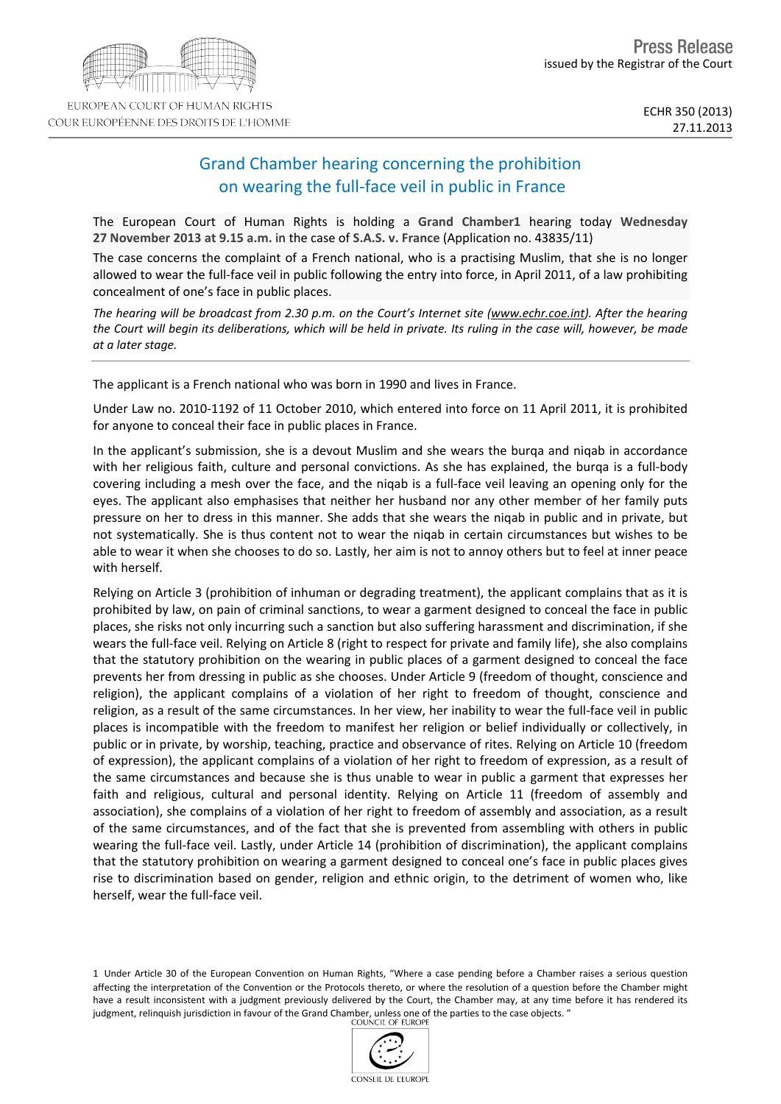

# Grand Chamber hearing concerning the prohibition on wearing the full-face veil in public in France

The European Court of Human Rights is holding a **Grand Chamber1** hearing today **Wednesday 27 November 2013 at 9.15 a.m.** in the case of **S.A.S. v. France** (Application no. 43835/11)

The case concerns the complaint of a French national, who is a practising Muslim, that she is no longer allowed to wear the full-face veil in public following the entry into force, in April 2011, of a law prohibiting concealment of one's face in public places.

The hearing will be broadcast from 2.30 p.m. on the Court's Internet site (www.echr.coe.int). After the hearing the Court will begin its deliberations, which will be held in private. Its ruling in the case will, however, be made *at a later stage.*

The applicant is a French national who was born in 1990 and lives in France.

Under Law no. 2010-1192 of 11 October 2010, which entered into force on 11 April 2011, it is prohibited for anyone to conceal their face in public places in France.

In the applicant's submission, she is a devout Muslim and she wears the burqa and niqab in accordance with her religious faith, culture and personal convictions. As she has explained, the burqa is a full-body covering including a mesh over the face, and the niqab is a full-face veil leaving an opening only for the eyes. The applicant also emphasises that neither her husband nor any other member of her family puts pressure on her to dress in this manner. She adds that she wears the niqab in public and in private, but not systematically. She is thus content not to wear the niqab in certain circumstances but wishes to be able to wear it when she chooses to do so. Lastly, her aim is not to annoy others but to feel at inner peace with herself.

Relying on Article 3 (prohibition of inhuman or degrading treatment), the applicant complains that as it is prohibited by law, on pain of criminal sanctions, to wear a garment designed to conceal the face in public places, she risks not only incurring such a sanction but also suffering harassment and discrimination, if she wears the full-face veil. Relying on Article 8 (right to respect for private and family life), she also complains that the statutory prohibition on the wearing in public places of a garment designed to conceal the face prevents her from dressing in public as she chooses. Under Article 9 (freedom of thought, conscience and religion), the applicant complains of a violation of her right to freedom of thought, conscience and religion, as a result of the same circumstances. In her view, her inability to wear the full-face veil in public places is incompatible with the freedom to manifest her religion or belief individually or collectively, in public or in private, by worship, teaching, practice and observance of rites. Relying on Article 10 (freedom of expression), the applicant complains of a violation of her right to freedom of expression, as a result of the same circumstances and because she is thus unable to wear in public a garment that expresses her faith and religious, cultural and personal identity. Relying on Article 11 (freedom of assembly and association), she complains of a violation of her right to freedom of assembly and association, as a result of the same circumstances, and of the fact that she is prevented from assembling with others in public wearing the full-face veil. Lastly, under Article 14 (prohibition of discrimination), the applicant complains that the statutory prohibition on wearing a garment designed to conceal one's face in public places gives rise to discrimination based on gender, religion and ethnic origin, to the detriment of women who, like herself, wear the full-face veil.

1 Under Article 30 of the European Convention on Human Rights, "Where a case pending before a Chamber raises a serious question affecting the interpretation of the Convention or the Protocols thereto, or where the resolution of a question before the Chamber might have a result inconsistent with a judgment previously delivered by the Court, the Chamber may, at any time before it has rendered its judgment, relinquish jurisdiction in favour of the Grand Chamber, unless one of the parties to the case objects. "